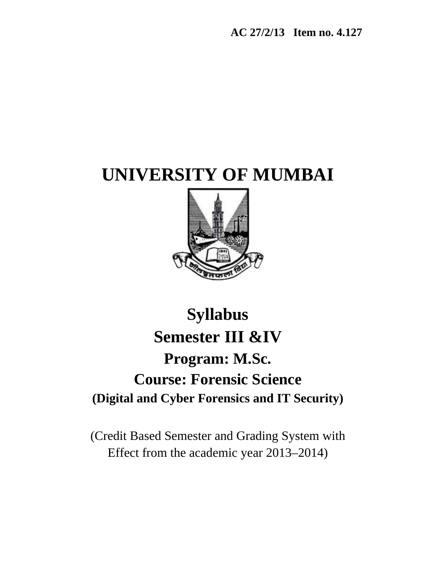**AC 27/2/13 Item no. 4.127** 

# **UNIVERSITY OF MUMBAI**



# **Syllabus Semester III &IV Program: M.Sc. Course: Forensic Science (Digital and Cyber Forensics and IT Security)**

(Credit Based Semester and Grading System with Effect from the academic year 2013–2014)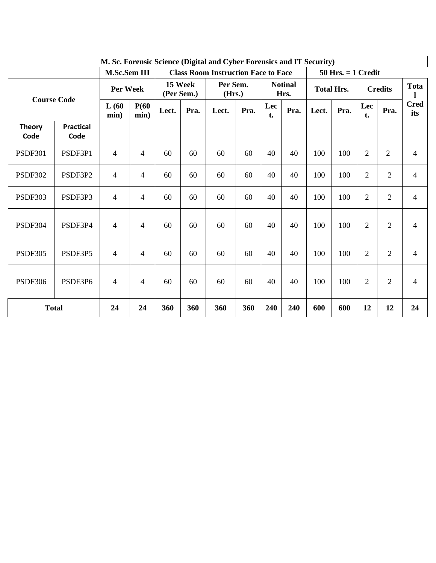| M. Sc. Forensic Science (Digital and Cyber Forensics and IT Security) |                          |                                                                                      |                |                       |      |                    |      |                   |                        |       |                   |                |                |                    |
|-----------------------------------------------------------------------|--------------------------|--------------------------------------------------------------------------------------|----------------|-----------------------|------|--------------------|------|-------------------|------------------------|-------|-------------------|----------------|----------------|--------------------|
|                                                                       |                          | M.Sc.Sem III<br><b>Class Room Instruction Face to Face</b><br>$50$ Hrs. $= 1$ Credit |                |                       |      |                    |      |                   |                        |       |                   |                |                |                    |
| <b>Course Code</b>                                                    |                          | Per Week                                                                             |                | 15 Week<br>(Per Sem.) |      | Per Sem.<br>(Hrs.) |      |                   | <b>Notinal</b><br>Hrs. |       | <b>Total Hrs.</b> |                | <b>Credits</b> |                    |
|                                                                       |                          | L(60)<br>min)                                                                        | P(60)<br>min)  | Lect.                 | Pra. | Lect.              | Pra. | Lec<br>Pra.<br>t. |                        | Lect. | Pra.              | Lec<br>t.      | Pra.           | <b>Cred</b><br>its |
| <b>Theory</b><br>Code                                                 | <b>Practical</b><br>Code |                                                                                      |                |                       |      |                    |      |                   |                        |       |                   |                |                |                    |
| <b>PSDF301</b>                                                        | PSDF3P1                  | $\overline{4}$                                                                       | 4              | 60                    | 60   | 60                 | 60   | 40                | 40                     | 100   | 100               | $\mathbf{2}$   | $\overline{c}$ | $\overline{4}$     |
| <b>PSDF302</b>                                                        | PSDF3P2                  | $\overline{4}$                                                                       | $\overline{4}$ | 60                    | 60   | 60                 | 60   | 40                | 40                     | 100   | 100               | $\overline{2}$ | $\overline{2}$ | $\overline{4}$     |
| <b>PSDF303</b>                                                        | PSDF3P3                  | 4                                                                                    | 4              | 60                    | 60   | 60                 | 60   | 40                | 40                     | 100   | 100               | $\overline{2}$ | $\overline{2}$ | 4                  |
| <b>PSDF304</b>                                                        | PSDF3P4                  | $\overline{4}$                                                                       | 4              | 60                    | 60   | 60                 | 60   | 40                | 40                     | 100   | 100               | $\overline{2}$ | $\overline{2}$ | 4                  |
| <b>PSDF305</b>                                                        | PSDF3P5                  | $\overline{4}$                                                                       | $\overline{4}$ | 60                    | 60   | 60                 | 60   | 40                | 40                     | 100   | 100               | $\overline{2}$ | $\overline{2}$ | 4                  |
| <b>PSDF306</b>                                                        | PSDF3P6                  | $\overline{4}$                                                                       | 4              | 60                    | 60   | 60                 | 60   | 40                | 40                     | 100   | 100               | $\overline{2}$ | $\overline{2}$ | 4                  |
| <b>Total</b>                                                          |                          | 24                                                                                   | 24             | 360                   | 360  | 360                | 360  | 240               | 240                    | 600   | 600               | 12             | 12             | 24                 |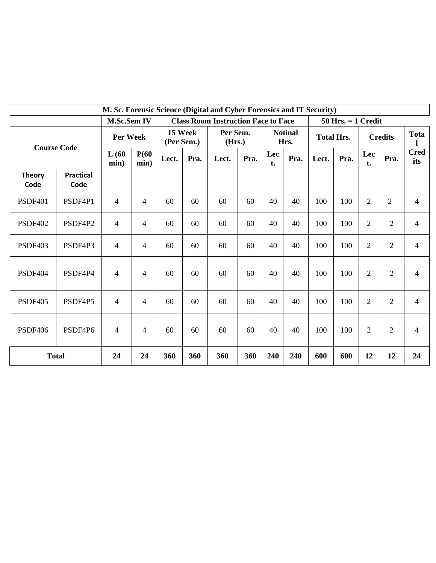| M. Sc. Forensic Science (Digital and Cyber Forensics and IT Security) |                          |                |                |                       |      |       |                                            |                   |                        |       |                        |                |                |                    |
|-----------------------------------------------------------------------|--------------------------|----------------|----------------|-----------------------|------|-------|--------------------------------------------|-------------------|------------------------|-------|------------------------|----------------|----------------|--------------------|
| <b>M.Sc.Sem IV</b>                                                    |                          |                |                |                       |      |       | <b>Class Room Instruction Face to Face</b> |                   |                        |       | $50$ Hrs. $= 1$ Credit |                |                |                    |
| <b>Course Code</b>                                                    |                          | Per Week       |                | 15 Week<br>(Per Sem.) |      |       | Per Sem.<br>(Hrs.)                         |                   | <b>Notinal</b><br>Hrs. |       | <b>Total Hrs.</b>      |                | <b>Credits</b> |                    |
|                                                                       |                          | L(60)<br>min)  | P(60)<br>min)  | Lect.                 | Pra. | Lect. | Pra.                                       | Lec<br>Pra.<br>t. |                        | Lect. | Pra.                   | Lec<br>t.      | Pra.           | <b>Cred</b><br>its |
| <b>Theory</b><br>Code                                                 | <b>Practical</b><br>Code |                |                |                       |      |       |                                            |                   |                        |       |                        |                |                |                    |
| <b>PSDF401</b>                                                        | PSDF4P1                  | $\overline{4}$ | $\overline{4}$ | 60                    | 60   | 60    | 60                                         | 40                | 40                     | 100   | 100                    | $\overline{2}$ | $\overline{2}$ | $\overline{4}$     |
| <b>PSDF402</b>                                                        | PSDF4P2                  | $\overline{4}$ | $\overline{4}$ | 60                    | 60   | 60    | 60                                         | 40                | 40                     | 100   | 100                    | $\overline{2}$ | $\overline{2}$ | $\overline{4}$     |
| <b>PSDF403</b>                                                        | PSDF4P3                  | $\overline{4}$ | $\overline{4}$ | 60                    | 60   | 60    | 60                                         | 40                | 40                     | 100   | 100                    | $\overline{2}$ | $\overline{2}$ | $\overline{4}$     |
| <b>PSDF404</b>                                                        | PSDF4P4                  | $\overline{4}$ | $\overline{4}$ | 60                    | 60   | 60    | 60                                         | 40                | 40                     | 100   | 100                    | $\overline{2}$ | $\overline{2}$ | $\overline{4}$     |
| <b>PSDF405</b>                                                        | PSDF4P5                  | $\overline{4}$ | $\overline{4}$ | 60                    | 60   | 60    | 60                                         | 40                | 40                     | 100   | 100                    | $\overline{2}$ | $\overline{2}$ | $\overline{4}$     |
| PSDF406                                                               | PSDF4P6                  | $\overline{4}$ | $\overline{4}$ | 60                    | 60   | 60    | 60                                         | 40                | 40                     | 100   | 100                    | $\overline{2}$ | $\overline{2}$ | $\overline{4}$     |
|                                                                       | <b>Total</b>             | 24             | 24             | 360                   | 360  | 360   | 360                                        | 240               | 240                    | 600   | 600                    | 12             | 12             | 24                 |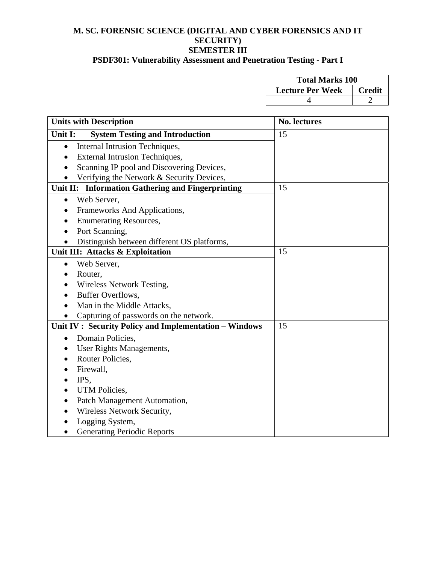#### **M. SC. FORENSIC SCIENCE (DIGITAL AND CYBER FORENSICS AND IT SECURITY) SEMESTER III**

# **PSDF301: Vulnerability Assessment and Penetration Testing - Part I**

| <b>Total Marks 100</b>  |               |  |  |  |  |
|-------------------------|---------------|--|--|--|--|
| <b>Lecture Per Week</b> | <b>Credit</b> |  |  |  |  |
|                         |               |  |  |  |  |

| <b>Units with Description</b>                            | No. lectures |
|----------------------------------------------------------|--------------|
| <b>System Testing and Introduction</b><br>Unit I:        | 15           |
| Internal Intrusion Techniques,<br>$\bullet$              |              |
| <b>External Intrusion Techniques,</b>                    |              |
| Scanning IP pool and Discovering Devices,                |              |
| Verifying the Network & Security Devices,                |              |
| Unit II: Information Gathering and Fingerprinting        | 15           |
| Web Server,<br>$\bullet$                                 |              |
| Frameworks And Applications,                             |              |
| <b>Enumerating Resources,</b>                            |              |
| Port Scanning,                                           |              |
| Distinguish between different OS platforms,<br>$\bullet$ |              |
| Unit III: Attacks & Exploitation                         | 15           |
| Web Server,<br>$\bullet$                                 |              |
| Router,                                                  |              |
| Wireless Network Testing,                                |              |
| <b>Buffer Overflows,</b>                                 |              |
| Man in the Middle Attacks,                               |              |
| Capturing of passwords on the network.                   |              |
| Unit IV : Security Policy and Implementation - Windows   | 15           |
| Domain Policies,<br>$\bullet$                            |              |
| User Rights Managements,                                 |              |
| Router Policies,                                         |              |
| Firewall,                                                |              |
| IPS,<br>$\bullet$                                        |              |
| UTM Policies,                                            |              |
| Patch Management Automation,                             |              |
| Wireless Network Security,                               |              |
| Logging System,                                          |              |
| <b>Generating Periodic Reports</b><br>$\bullet$          |              |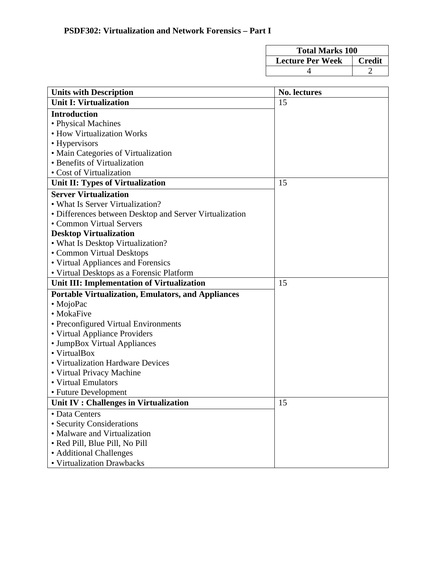| <b>Total Marks 100</b>  |               |  |  |  |  |
|-------------------------|---------------|--|--|--|--|
| <b>Lecture Per Week</b> | <b>Credit</b> |  |  |  |  |
|                         |               |  |  |  |  |

| <b>Units with Description</b>                             | No. lectures |
|-----------------------------------------------------------|--------------|
| <b>Unit I: Virtualization</b>                             | 15           |
| <b>Introduction</b>                                       |              |
| • Physical Machines                                       |              |
| • How Virtualization Works                                |              |
| • Hypervisors                                             |              |
| • Main Categories of Virtualization                       |              |
| • Benefits of Virtualization                              |              |
| • Cost of Virtualization                                  |              |
| Unit II: Types of Virtualization                          | 15           |
| <b>Server Virtualization</b>                              |              |
| • What Is Server Virtualization?                          |              |
| • Differences between Desktop and Server Virtualization   |              |
| • Common Virtual Servers                                  |              |
| <b>Desktop Virtualization</b>                             |              |
| • What Is Desktop Virtualization?                         |              |
| • Common Virtual Desktops                                 |              |
| • Virtual Appliances and Forensics                        |              |
| • Virtual Desktops as a Forensic Platform                 |              |
| Unit III: Implementation of Virtualization                | 15           |
| <b>Portable Virtualization, Emulators, and Appliances</b> |              |
| • MojoPac                                                 |              |
| • MokaFive                                                |              |
| • Preconfigured Virtual Environments                      |              |
| • Virtual Appliance Providers                             |              |
| • JumpBox Virtual Appliances                              |              |
| • VirtualBox                                              |              |
| • Virtualization Hardware Devices                         |              |
| • Virtual Privacy Machine                                 |              |
| • Virtual Emulators                                       |              |
| • Future Development                                      |              |
| Unit IV : Challenges in Virtualization                    | 15           |
| • Data Centers                                            |              |
| • Security Considerations                                 |              |
| • Malware and Virtualization                              |              |
| • Red Pill, Blue Pill, No Pill                            |              |
| • Additional Challenges                                   |              |
| • Virtualization Drawbacks                                |              |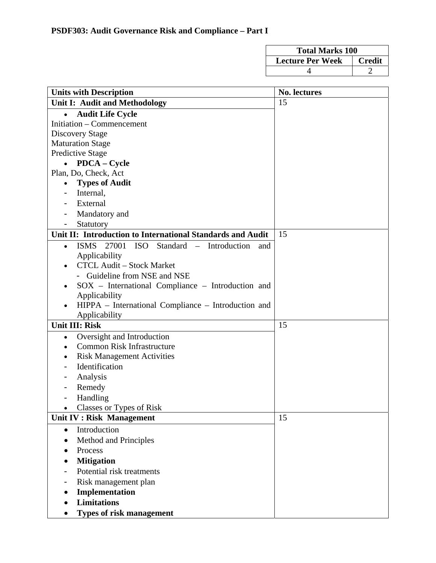| <b>Total Marks 100</b>  |        |  |  |  |  |
|-------------------------|--------|--|--|--|--|
| <b>Lecture Per Week</b> | Credit |  |  |  |  |
|                         |        |  |  |  |  |

| <b>Units with Description</b>                                                     | No. lectures |
|-----------------------------------------------------------------------------------|--------------|
| Unit I: Audit and Methodology                                                     | 15           |
| <b>Audit Life Cycle</b>                                                           |              |
| Initiation – Commencement                                                         |              |
| <b>Discovery Stage</b>                                                            |              |
| <b>Maturation Stage</b>                                                           |              |
| <b>Predictive Stage</b>                                                           |              |
| <b>PDCA</b> – Cycle                                                               |              |
| Plan, Do, Check, Act                                                              |              |
| <b>Types of Audit</b>                                                             |              |
| Internal,                                                                         |              |
| External                                                                          |              |
| Mandatory and                                                                     |              |
| Statutory                                                                         |              |
| Unit II: Introduction to International Standards and Audit                        | 15           |
| 27001<br><b>ISO</b><br>Standard - Introduction<br><b>ISMS</b><br>and<br>$\bullet$ |              |
| Applicability                                                                     |              |
| <b>CTCL Audit - Stock Market</b>                                                  |              |
| - Guideline from NSE and NSE                                                      |              |
| SOX - International Compliance - Introduction and                                 |              |
| Applicability                                                                     |              |
| HIPPA - International Compliance - Introduction and                               |              |
| Applicability                                                                     |              |
| <b>Unit III: Risk</b>                                                             | 15           |
| Oversight and Introduction<br>$\bullet$                                           |              |
| <b>Common Risk Infrastructure</b>                                                 |              |
| <b>Risk Management Activities</b>                                                 |              |
| Identification                                                                    |              |
| Analysis                                                                          |              |
| Remedy                                                                            |              |
| Handling                                                                          |              |
| Classes or Types of Risk                                                          |              |
| Unit IV : Risk Management                                                         | 15           |
| Introduction<br>$\bullet$                                                         |              |
| Method and Principles                                                             |              |
| Process                                                                           |              |
| <b>Mitigation</b>                                                                 |              |
| Potential risk treatments                                                         |              |
| Risk management plan                                                              |              |
| Implementation                                                                    |              |
| <b>Limitations</b>                                                                |              |
| Types of risk management                                                          |              |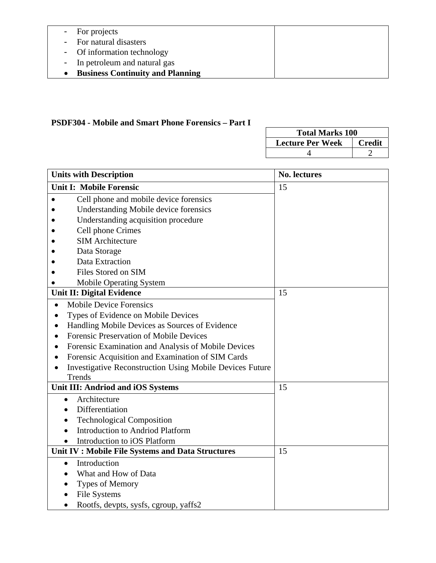| - For projects                     |  |
|------------------------------------|--|
| - For natural disasters            |  |
| - Of information technology        |  |
| - In petroleum and natural gas     |  |
| • Business Continuity and Planning |  |

# **PSDF304 - Mobile and Smart Phone Forensics – Part I**

| <b>Total Marks 100</b>  |               |  |  |  |  |  |
|-------------------------|---------------|--|--|--|--|--|
| <b>Lecture Per Week</b> | <b>Credit</b> |  |  |  |  |  |
|                         |               |  |  |  |  |  |

| <b>Units with Description</b>                                   | <b>No. lectures</b> |
|-----------------------------------------------------------------|---------------------|
| <b>Unit I: Mobile Forensic</b>                                  | 15                  |
| Cell phone and mobile device forensics                          |                     |
| Understanding Mobile device forensics                           |                     |
| Understanding acquisition procedure                             |                     |
| Cell phone Crimes                                               |                     |
| <b>SIM Architecture</b>                                         |                     |
| Data Storage                                                    |                     |
| Data Extraction                                                 |                     |
| Files Stored on SIM                                             |                     |
| <b>Mobile Operating System</b>                                  |                     |
| <b>Unit II: Digital Evidence</b>                                | 15                  |
| <b>Mobile Device Forensics</b><br>$\bullet$                     |                     |
| Types of Evidence on Mobile Devices                             |                     |
| Handling Mobile Devices as Sources of Evidence<br>$\bullet$     |                     |
| <b>Forensic Preservation of Mobile Devices</b>                  |                     |
| Forensic Examination and Analysis of Mobile Devices             |                     |
| Forensic Acquisition and Examination of SIM Cards               |                     |
| <b>Investigative Reconstruction Using Mobile Devices Future</b> |                     |
| Trends                                                          |                     |
| Unit III: Andriod and iOS Systems                               | 15                  |
| Architecture<br>$\bullet$                                       |                     |
| Differentiation                                                 |                     |
| <b>Technological Composition</b>                                |                     |
| <b>Introduction to Andriod Platform</b>                         |                     |
| Introduction to iOS Platform                                    |                     |
| Unit IV: Mobile File Systems and Data Structures                | 15                  |
| Introduction<br>$\bullet$                                       |                     |
| What and How of Data                                            |                     |
| Types of Memory                                                 |                     |
| File Systems                                                    |                     |
| Rootfs, devpts, sysfs, cgroup, yaffs2<br>$\bullet$              |                     |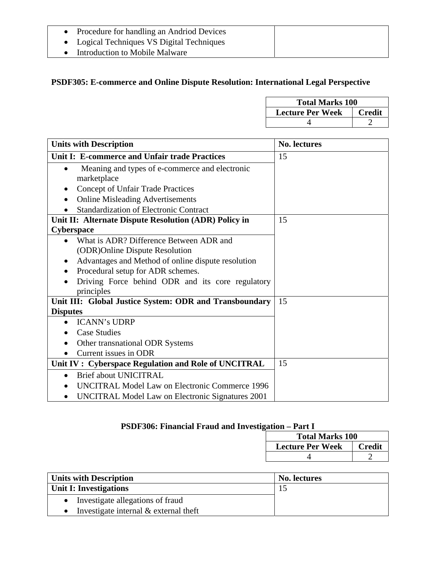| Procedure for handling an Andriod Devices  |  |
|--------------------------------------------|--|
| • Logical Techniques VS Digital Techniques |  |
| Introduction to Mobile Malware             |  |

# **PSDF305: E-commerce and Online Dispute Resolution: International Legal Perspective**

| <b>Total Marks 100</b>  |        |
|-------------------------|--------|
| <b>Lecture Per Week</b> | Credit |
|                         |        |

| <b>Units with Description</b>                                              | <b>No. lectures</b> |
|----------------------------------------------------------------------------|---------------------|
| Unit I: E-commerce and Unfair trade Practices                              | 15                  |
| Meaning and types of e-commerce and electronic<br>$\bullet$<br>marketplace |                     |
| Concept of Unfair Trade Practices                                          |                     |
| <b>Online Misleading Advertisements</b><br>$\bullet$                       |                     |
| <b>Standardization of Electronic Contract</b>                              |                     |
| Unit II: Alternate Dispute Resolution (ADR) Policy in                      | 15                  |
| <b>Cyberspace</b>                                                          |                     |
| What is ADR? Difference Between ADR and<br>$\bullet$                       |                     |
| (ODR) Online Dispute Resolution                                            |                     |
| Advantages and Method of online dispute resolution                         |                     |
| Procedural setup for ADR schemes.                                          |                     |
| Driving Force behind ODR and its core regulatory<br>principles             |                     |
| Unit III: Global Justice System: ODR and Transboundary                     | 15                  |
| <b>Disputes</b>                                                            |                     |
| <b>ICANN's UDRP</b><br>$\bullet$                                           |                     |
| <b>Case Studies</b>                                                        |                     |
| Other transnational ODR Systems                                            |                     |
| Current issues in ODR                                                      |                     |
| Unit IV: Cyberspace Regulation and Role of UNCITRAL                        | 15                  |
| <b>Brief about UNICITRAL</b><br>$\bullet$                                  |                     |
| <b>UNCITRAL Model Law on Electronic Commerce 1996</b>                      |                     |
| UNCITRAL Model Law on Electronic Signatures 2001                           |                     |

# **PSDF306: Financial Fraud and Investigation – Part I**

| <b>Total Marks 100</b>  |               |
|-------------------------|---------------|
| <b>Lecture Per Week</b> | <b>Credit</b> |
|                         |               |

| <b>Units with Description</b>                        | <b>No. lectures</b> |
|------------------------------------------------------|---------------------|
| Unit I: Investigations                               |                     |
| Investigate allegations of fraud<br>$\bullet$        |                     |
| Investigate internal $&$ external theft<br>$\bullet$ |                     |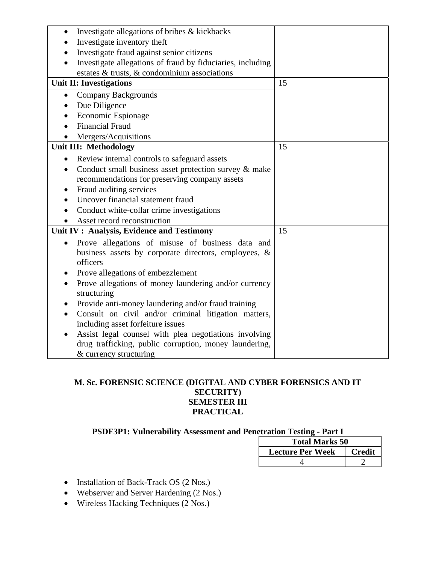| Investigate allegations of bribes & kickbacks<br>$\bullet$         |    |
|--------------------------------------------------------------------|----|
| Investigate inventory theft                                        |    |
| Investigate fraud against senior citizens                          |    |
| Investigate allegations of fraud by fiduciaries, including         |    |
| estates & trusts, & condominium associations                       |    |
| <b>Unit II: Investigations</b>                                     | 15 |
| <b>Company Backgrounds</b><br>$\bullet$                            |    |
| Due Diligence<br>$\bullet$                                         |    |
| Economic Espionage                                                 |    |
| <b>Financial Fraud</b>                                             |    |
| Mergers/Acquisitions                                               |    |
| Unit III: Methodology                                              | 15 |
| Review internal controls to safeguard assets<br>$\bullet$          |    |
| Conduct small business asset protection survey & make<br>$\bullet$ |    |
| recommendations for preserving company assets                      |    |
| Fraud auditing services                                            |    |
| Uncover financial statement fraud                                  |    |
| Conduct white-collar crime investigations                          |    |
| Asset record reconstruction                                        |    |
| Unit IV: Analysis, Evidence and Testimony                          | 15 |
| Prove allegations of misuse of business data and<br>$\bullet$      |    |
| business assets by corporate directors, employees, &               |    |
| officers                                                           |    |
| Prove allegations of embezzlement                                  |    |
| Prove allegations of money laundering and/or currency              |    |
| structuring                                                        |    |
| Provide anti-money laundering and/or fraud training<br>$\bullet$   |    |
| Consult on civil and/or criminal litigation matters,<br>$\bullet$  |    |
| including asset forfeiture issues                                  |    |
| Assist legal counsel with plea negotiations involving<br>$\bullet$ |    |
| drug trafficking, public corruption, money laundering,             |    |
| & currency structuring                                             |    |

#### **M. Sc. FORENSIC SCIENCE (DIGITAL AND CYBER FORENSICS AND IT SECURITY) SEMESTER III PRACTICAL**

# **PSDF3P1: Vulnerability Assessment and Penetration Testing - Part I**

| <b>Total Marks 50</b>   |               |
|-------------------------|---------------|
| <b>Lecture Per Week</b> | <b>Credit</b> |
|                         |               |

- Installation of Back-Track OS (2 Nos.)
- Webserver and Server Hardening (2 Nos.)
- Wireless Hacking Techniques (2 Nos.)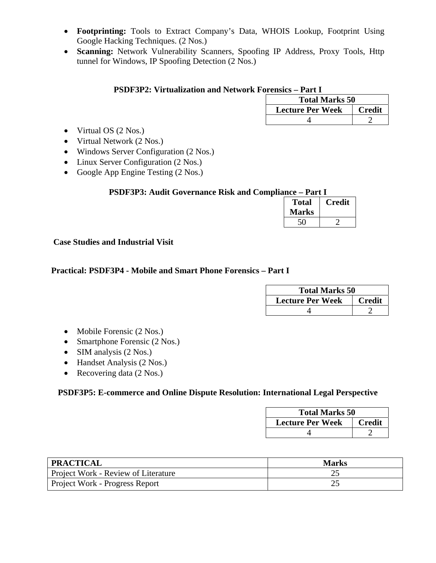- **Footprinting:** Tools to Extract Company's Data, WHOIS Lookup, Footprint Using Google Hacking Techniques. (2 Nos.)
- **Scanning:** Network Vulnerability Scanners, Spoofing IP Address, Proxy Tools, Http tunnel for Windows, IP Spoofing Detection (2 Nos.)

#### **PSDF3P2: Virtualization and Network Forensics – Part I**

| <b>Total Marks 50</b>   |               |
|-------------------------|---------------|
| <b>Lecture Per Week</b> | <b>Credit</b> |
|                         |               |

- Virtual OS (2 Nos.)
- Virtual Network (2 Nos.)
- Windows Server Configuration (2 Nos.)
- Linux Server Configuration (2 Nos.)
- Google App Engine Testing (2 Nos.)

#### **PSDF3P3: Audit Governance Risk and Compliance – Part I**

| <b>Total</b> | Credit |
|--------------|--------|
| <b>Marks</b> |        |
|              |        |

 **Case Studies and Industrial Visit** 

#### **Practical: PSDF3P4 - Mobile and Smart Phone Forensics – Part I**

| <b>Total Marks 50</b>   |               |
|-------------------------|---------------|
| <b>Lecture Per Week</b> | <b>Credit</b> |
|                         |               |

- Mobile Forensic (2 Nos.)
- Smartphone Forensic (2 Nos.)
- SIM analysis (2 Nos.)
- Handset Analysis (2 Nos.)
- Recovering data (2 Nos.)

#### **PSDF3P5: E-commerce and Online Dispute Resolution: International Legal Perspective**

| <b>Total Marks 50</b>   |               |
|-------------------------|---------------|
| <b>Lecture Per Week</b> | <b>Credit</b> |
|                         |               |

| <b>PRACTICAL</b>                    | <b>Marks</b> |
|-------------------------------------|--------------|
| Project Work - Review of Literature | ~∼           |
| Project Work - Progress Report      | ∼            |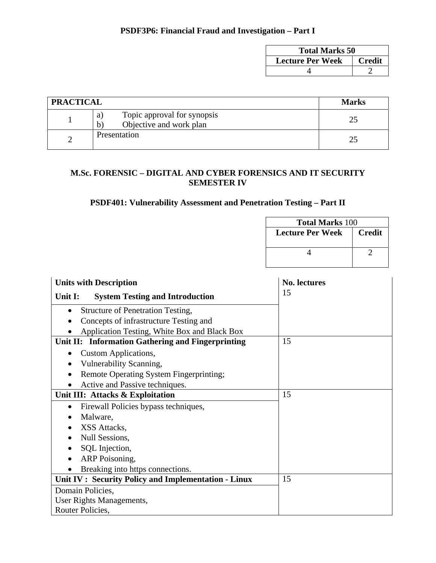# **PSDF3P6: Financial Fraud and Investigation – Part I**

| <b>Total Marks 50</b>   |               |
|-------------------------|---------------|
| <b>Lecture Per Week</b> | <b>Credit</b> |
|                         |               |

| <b>PRACTICAL</b> |                                                                    | <b>Marks</b> |
|------------------|--------------------------------------------------------------------|--------------|
|                  | Topic approval for synopsis<br>a)<br>Objective and work plan<br>h. |              |
|                  | Presentation                                                       |              |

## **M.Sc. FORENSIC – DIGITAL AND CYBER FORENSICS AND IT SECURITY SEMESTER IV**

# **PSDF401: Vulnerability Assessment and Penetration Testing – Part II**

|                                                                                                                                                                                                      | <b>Total Marks 100</b>  |                |
|------------------------------------------------------------------------------------------------------------------------------------------------------------------------------------------------------|-------------------------|----------------|
|                                                                                                                                                                                                      | <b>Lecture Per Week</b> | <b>Credit</b>  |
|                                                                                                                                                                                                      | 4                       | $\overline{2}$ |
| <b>Units with Description</b>                                                                                                                                                                        | <b>No. lectures</b>     |                |
| Unit I:<br><b>System Testing and Introduction</b>                                                                                                                                                    | 15                      |                |
| <b>Structure of Penetration Testing,</b><br>$\bullet$<br>Concepts of infrastructure Testing and<br>Application Testing, White Box and Black Box<br>Unit II: Information Gathering and Fingerprinting | 15                      |                |
| <b>Custom Applications,</b><br>$\bullet$<br>Vulnerability Scanning,<br>Remote Operating System Fingerprinting;<br>Active and Passive techniques.                                                     |                         |                |
| Unit III: Attacks & Exploitation                                                                                                                                                                     | 15                      |                |
| Firewall Policies bypass techniques,<br>Malware,<br>XSS Attacks,<br><b>Null Sessions,</b><br>SQL Injection,<br>ARP Poisoning,<br>Breaking into https connections.                                    |                         |                |
| Unit IV : Security Policy and Implementation - Linux                                                                                                                                                 | 15                      |                |
| Domain Policies,<br>User Rights Managements,<br>Router Policies,                                                                                                                                     |                         |                |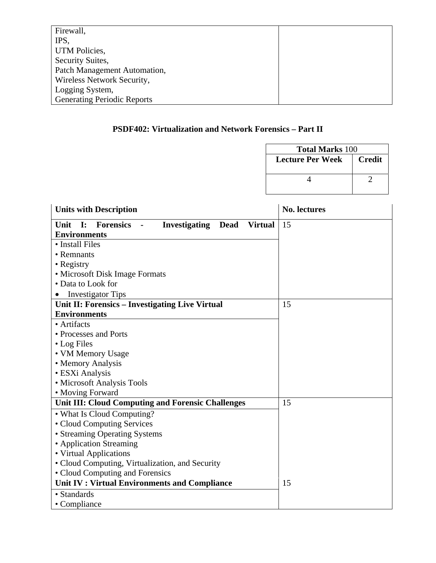| Firewall,                          |  |
|------------------------------------|--|
| IPS,                               |  |
| <b>UTM Policies,</b>               |  |
| Security Suites,                   |  |
| Patch Management Automation,       |  |
| Wireless Network Security,         |  |
| Logging System,                    |  |
| <b>Generating Periodic Reports</b> |  |

# **PSDF402: Virtualization and Network Forensics – Part II**

| <b>Total Marks 100</b> |                           |  |
|------------------------|---------------------------|--|
|                        | Lecture Per Week   Credit |  |
|                        |                           |  |

| <b>Units with Description</b>                                                                         | <b>No. lectures</b> |
|-------------------------------------------------------------------------------------------------------|---------------------|
| Unit<br>$\mathbf{I}$ :<br><b>Forensics</b> -<br><b>Investigating</b><br><b>Dead</b><br><b>Virtual</b> | 15                  |
| <b>Environments</b>                                                                                   |                     |
| • Install Files                                                                                       |                     |
| • Remnants                                                                                            |                     |
| • Registry                                                                                            |                     |
| • Microsoft Disk Image Formats                                                                        |                     |
| • Data to Look for                                                                                    |                     |
| <b>Investigator Tips</b>                                                                              |                     |
| Unit II: Forensics - Investigating Live Virtual                                                       | 15                  |
| <b>Environments</b>                                                                                   |                     |
| • Artifacts                                                                                           |                     |
| • Processes and Ports                                                                                 |                     |
| • Log Files                                                                                           |                     |
| • VM Memory Usage                                                                                     |                     |
| • Memory Analysis                                                                                     |                     |
| • ESXi Analysis                                                                                       |                     |
| • Microsoft Analysis Tools                                                                            |                     |
| • Moving Forward                                                                                      |                     |
| Unit III: Cloud Computing and Forensic Challenges                                                     | 15                  |
| • What Is Cloud Computing?                                                                            |                     |
| • Cloud Computing Services                                                                            |                     |
| • Streaming Operating Systems                                                                         |                     |
| • Application Streaming                                                                               |                     |
| • Virtual Applications                                                                                |                     |
| • Cloud Computing, Virtualization, and Security                                                       |                     |
| • Cloud Computing and Forensics                                                                       |                     |
| Unit IV: Virtual Environments and Compliance                                                          | 15                  |
| • Standards                                                                                           |                     |
| • Compliance                                                                                          |                     |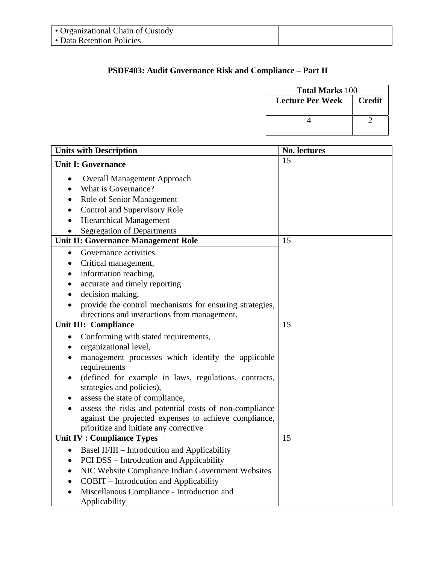# **PSDF403: Audit Governance Risk and Compliance – Part II**

| <b>Total Marks 100</b>              |  |
|-------------------------------------|--|
| <b>Lecture Per Week</b><br>  Credit |  |
|                                     |  |

| <b>Units with Description</b>                                                                            | <b>No. lectures</b> |
|----------------------------------------------------------------------------------------------------------|---------------------|
| <b>Unit I: Governance</b>                                                                                | 15                  |
| <b>Overall Management Approach</b><br>$\bullet$                                                          |                     |
| What is Governance?                                                                                      |                     |
| Role of Senior Management                                                                                |                     |
| Control and Supervisory Role                                                                             |                     |
| <b>Hierarchical Management</b>                                                                           |                     |
| <b>Segregation of Departments</b><br>$\bullet$                                                           |                     |
| <b>Unit II: Governance Management Role</b>                                                               | 15                  |
| Governance activities<br>$\bullet$                                                                       |                     |
| Critical management,<br>$\bullet$                                                                        |                     |
| information reaching,<br>٠                                                                               |                     |
| accurate and timely reporting                                                                            |                     |
| decision making,                                                                                         |                     |
| provide the control mechanisms for ensuring strategies,                                                  |                     |
| directions and instructions from management.                                                             |                     |
| <b>Unit III: Compliance</b>                                                                              | 15                  |
| Conforming with stated requirements,<br>$\bullet$                                                        |                     |
| organizational level,<br>$\bullet$                                                                       |                     |
| management processes which identify the applicable<br>requirements                                       |                     |
| (defined for example in laws, regulations, contracts,<br>$\bullet$                                       |                     |
| strategies and policies),                                                                                |                     |
| assess the state of compliance,                                                                          |                     |
| assess the risks and potential costs of non-compliance                                                   |                     |
| against the projected expenses to achieve compliance,                                                    |                     |
| prioritize and initiate any corrective                                                                   |                     |
| <b>Unit IV : Compliance Types</b>                                                                        | 15                  |
| Basel II/III - Introdcution and Applicability<br>٠                                                       |                     |
| PCI DSS – Introdcution and Applicability<br>$\bullet$                                                    |                     |
| NIC Website Compliance Indian Government Websites<br>$\bullet$                                           |                     |
| <b>COBIT</b> – Introdcution and Applicability<br>$\bullet$<br>Miscellanous Compliance - Introduction and |                     |
| Applicability                                                                                            |                     |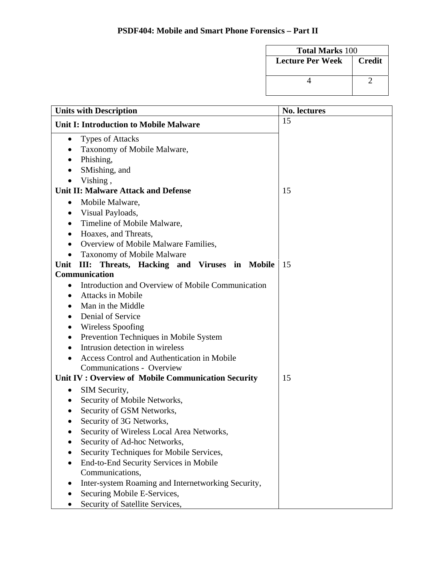| <b>Total Marks 100</b> |               |
|------------------------|---------------|
| Lecture Per Week       | <b>Credit</b> |
|                        |               |

| <b>Units with Description</b>                          | <b>No. lectures</b> |
|--------------------------------------------------------|---------------------|
| <b>Unit I: Introduction to Mobile Malware</b>          | 15                  |
| <b>Types of Attacks</b><br>$\bullet$                   |                     |
| Taxonomy of Mobile Malware,                            |                     |
| Phishing,                                              |                     |
| SMishing, and<br>$\bullet$                             |                     |
| Vishing,<br>$\bullet$                                  |                     |
| <b>Unit II: Malware Attack and Defense</b>             | 15                  |
| Mobile Malware,<br>$\bullet$                           |                     |
| Visual Payloads,<br>$\bullet$                          |                     |
| Timeline of Mobile Malware,                            |                     |
| Hoaxes, and Threats,                                   |                     |
| Overview of Mobile Malware Families,                   |                     |
| <b>Taxonomy of Mobile Malware</b><br>$\bullet$         |                     |
| III: Threats, Hacking and Viruses in Mobile<br>Unit    | 15                  |
| <b>Communication</b>                                   |                     |
| Introduction and Overview of Mobile Communication<br>٠ |                     |
| <b>Attacks in Mobile</b>                               |                     |
| Man in the Middle                                      |                     |
| Denial of Service                                      |                     |
| Wireless Spoofing                                      |                     |
| Prevention Techniques in Mobile System                 |                     |
| Intrusion detection in wireless<br>$\bullet$           |                     |
| <b>Access Control and Authentication in Mobile</b>     |                     |
| Communications - Overview                              |                     |
| Unit IV: Overview of Mobile Communication Security     | 15                  |
| SIM Security,<br>$\bullet$                             |                     |
| Security of Mobile Networks,                           |                     |
| Security of GSM Networks,                              |                     |
| Security of 3G Networks,                               |                     |
| Security of Wireless Local Area Networks,              |                     |
| Security of Ad-hoc Networks,                           |                     |
| Security Techniques for Mobile Services,               |                     |
| End-to-End Security Services in Mobile                 |                     |
| Communications,                                        |                     |
| Inter-system Roaming and Internetworking Security,     |                     |
| Securing Mobile E-Services,                            |                     |
| Security of Satellite Services,                        |                     |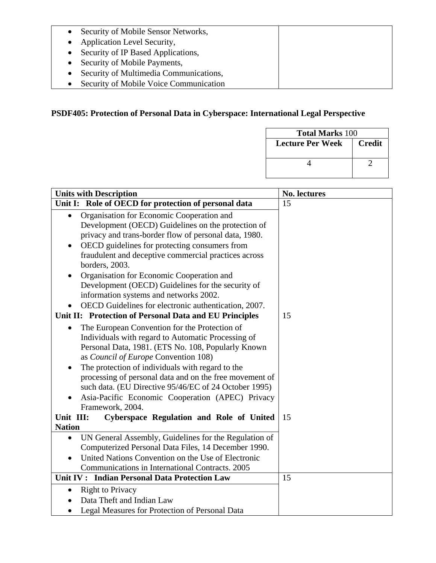- Security of Mobile Sensor Networks,
- Application Level Security,
- Security of IP Based Applications,
- Security of Mobile Payments,
- Security of Multimedia Communications,
- Security of Mobile Voice Communication

# **PSDF405: Protection of Personal Data in Cyberspace: International Legal Perspective**

| <b>Total Marks 100</b>  |               |  |
|-------------------------|---------------|--|
| <b>Lecture Per Week</b> | <b>Credit</b> |  |
|                         |               |  |

| <b>Units with Description</b>                                                                                                                                                                                                                                                                                                                                                                                                                                                                                                                                                                                                                                                                                                                                                                                                                                                                                                                                                                                                                              | No. lectures |
|------------------------------------------------------------------------------------------------------------------------------------------------------------------------------------------------------------------------------------------------------------------------------------------------------------------------------------------------------------------------------------------------------------------------------------------------------------------------------------------------------------------------------------------------------------------------------------------------------------------------------------------------------------------------------------------------------------------------------------------------------------------------------------------------------------------------------------------------------------------------------------------------------------------------------------------------------------------------------------------------------------------------------------------------------------|--------------|
| Unit I: Role of OECD for protection of personal data                                                                                                                                                                                                                                                                                                                                                                                                                                                                                                                                                                                                                                                                                                                                                                                                                                                                                                                                                                                                       | 15           |
| Organisation for Economic Cooperation and<br>$\bullet$<br>Development (OECD) Guidelines on the protection of<br>privacy and trans-border flow of personal data, 1980.<br>OECD guidelines for protecting consumers from<br>$\bullet$<br>fraudulent and deceptive commercial practices across<br>borders, 2003.<br>Organisation for Economic Cooperation and<br>Development (OECD) Guidelines for the security of<br>information systems and networks 2002.<br>OECD Guidelines for electronic authentication, 2007.<br>Unit II: Protection of Personal Data and EU Principles<br>The European Convention for the Protection of<br>$\bullet$<br>Individuals with regard to Automatic Processing of<br>Personal Data, 1981. (ETS No. 108, Popularly Known<br>as Council of Europe Convention 108)<br>The protection of individuals with regard to the<br>$\bullet$<br>processing of personal data and on the free movement of<br>such data. (EU Directive 95/46/EC of 24 October 1995)<br>Asia-Pacific Economic Cooperation (APEC) Privacy<br>Framework, 2004. | 15           |
| Unit III:<br>Cyberspace Regulation and Role of United                                                                                                                                                                                                                                                                                                                                                                                                                                                                                                                                                                                                                                                                                                                                                                                                                                                                                                                                                                                                      | 15           |
| <b>Nation</b><br>UN General Assembly, Guidelines for the Regulation of<br>$\bullet$<br>Computerized Personal Data Files, 14 December 1990.<br>United Nations Convention on the Use of Electronic<br>Communications in International Contracts. 2005<br>Unit IV: Indian Personal Data Protection Law                                                                                                                                                                                                                                                                                                                                                                                                                                                                                                                                                                                                                                                                                                                                                        | 15           |
| <b>Right to Privacy</b><br>$\bullet$<br>Data Theft and Indian Law<br>Legal Measures for Protection of Personal Data                                                                                                                                                                                                                                                                                                                                                                                                                                                                                                                                                                                                                                                                                                                                                                                                                                                                                                                                        |              |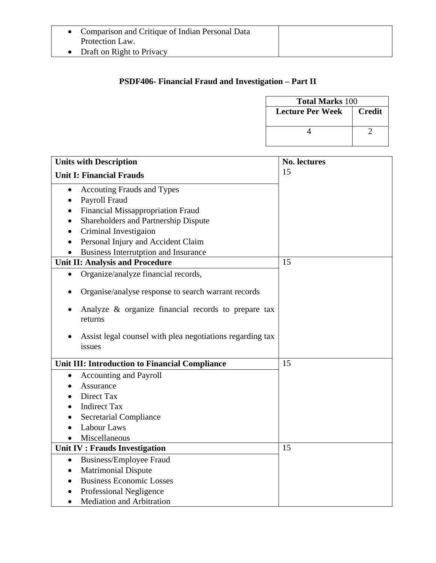| • Comparison and Critique of Indian Personal Data |
|---------------------------------------------------|
| Protection Law.                                   |

• Draft on Right to Privacy

# **PSDF406- Financial Fraud and Investigation – Part II**

|                                                                     |                         | <b>Total Marks 100</b> |  |
|---------------------------------------------------------------------|-------------------------|------------------------|--|
|                                                                     | <b>Lecture Per Week</b> | <b>Credit</b>          |  |
|                                                                     |                         |                        |  |
|                                                                     | 4                       | $\overline{2}$         |  |
|                                                                     |                         |                        |  |
| <b>Units with Description</b>                                       | <b>No. lectures</b>     |                        |  |
| <b>Unit I: Financial Frauds</b>                                     | 15                      |                        |  |
| <b>Accouting Frauds and Types</b>                                   |                         |                        |  |
| Payroll Fraud                                                       |                         |                        |  |
| <b>Financial Missappropriation Fraud</b>                            |                         |                        |  |
| Shareholders and Partnership Dispute                                |                         |                        |  |
| Criminal Investigaion                                               |                         |                        |  |
| Personal Injury and Accident Claim<br>$\bullet$                     |                         |                        |  |
| <b>Business Interrutption and Insurance</b>                         |                         |                        |  |
| Unit II: Analysis and Procedure                                     | 15                      |                        |  |
| Organize/analyze financial records,<br>$\bullet$                    |                         |                        |  |
| Organise/analyse response to search warrant records                 |                         |                        |  |
| Analyze & organize financial records to prepare tax<br>returns      |                         |                        |  |
| Assist legal counsel with plea negotiations regarding tax<br>issues |                         |                        |  |
| Unit III: Introduction to Financial Compliance                      | 15                      |                        |  |
| <b>Accounting and Payroll</b><br>$\bullet$                          |                         |                        |  |
| Assurance                                                           |                         |                        |  |
| Direct Tax                                                          |                         |                        |  |
| <b>Indirect Tax</b>                                                 |                         |                        |  |
| <b>Secretarial Compliance</b>                                       |                         |                        |  |
| Labour Laws                                                         |                         |                        |  |
| Miscellaneous                                                       |                         |                        |  |
| Unit IV : Frauds Investigation                                      | 15                      |                        |  |
| <b>Business/Employee Fraud</b><br>$\bullet$                         |                         |                        |  |
| <b>Matrimonial Dispute</b>                                          |                         |                        |  |
| <b>Business Economic Losses</b>                                     |                         |                        |  |
| Professional Negligence                                             |                         |                        |  |
| Mediation and Arbitration                                           |                         |                        |  |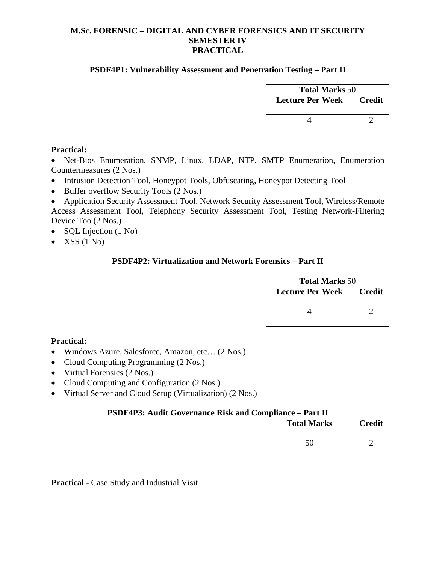#### **M.Sc. FORENSIC – DIGITAL AND CYBER FORENSICS AND IT SECURITY SEMESTER IV PRACTICAL**

#### **PSDF4P1: Vulnerability Assessment and Penetration Testing – Part II**

| <b>Total Marks</b> 50   |               |  |
|-------------------------|---------------|--|
| <b>Lecture Per Week</b> | <b>Credit</b> |  |
|                         |               |  |

#### **Practical:**

• Net-Bios Enumeration, SNMP, Linux, LDAP, NTP, SMTP Enumeration, Enumeration Countermeasures (2 Nos.)

- Intrusion Detection Tool, Honeypot Tools, Obfuscating, Honeypot Detecting Tool
- Buffer overflow Security Tools (2 Nos.)

• Application Security Assessment Tool, Network Security Assessment Tool, Wireless/Remote Access Assessment Tool, Telephony Security Assessment Tool, Testing Network-Filtering Device Too (2 Nos.)

- SQL Injection (1 No)
- XSS  $(1 N<sub>0</sub>)$

#### **PSDF4P2: Virtualization and Network Forensics – Part II**

| <b>Total Marks</b> 50 |               |  |
|-----------------------|---------------|--|
| Lecture Per Week      | <b>Credit</b> |  |
|                       |               |  |

#### **Practical:**

- Windows Azure, Salesforce, Amazon, etc… (2 Nos.)
- Cloud Computing Programming (2 Nos.)
- Virtual Forensics (2 Nos.)
- Cloud Computing and Configuration (2 Nos.)
- Virtual Server and Cloud Setup (Virtualization) (2 Nos.)

#### **PSDF4P3: Audit Governance Risk and Compliance – Part II**

| <b>Total Marks</b> | <b>Credit</b> |
|--------------------|---------------|
| 50                 |               |

**Practical -** Case Study and Industrial Visit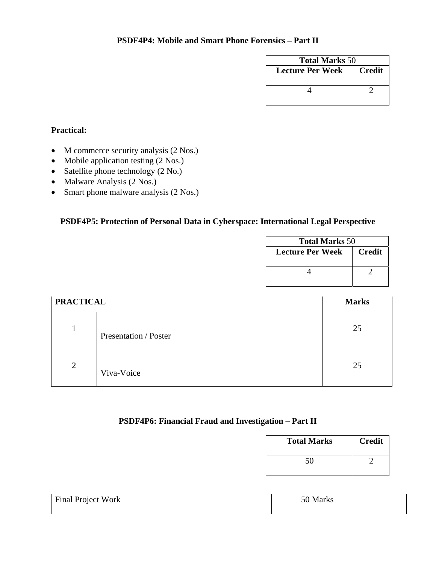| <b>Total Marks 50</b> |               |  |
|-----------------------|---------------|--|
| Lecture Per Week      | <b>Credit</b> |  |
|                       |               |  |

# **Practical:**

- M commerce security analysis (2 Nos.)
- Mobile application testing (2 Nos.)
- Satellite phone technology (2 No.)
- Malware Analysis (2 Nos.)
- Smart phone malware analysis (2 Nos.)

# **PSDF4P5: Protection of Personal Data in Cyberspace: International Legal Perspective**

| <b>Total Marks</b> 50   |               |  |
|-------------------------|---------------|--|
| <b>Lecture Per Week</b> | <b>Credit</b> |  |
|                         |               |  |
|                         |               |  |
|                         |               |  |

| <b>PRACTICAL</b> |                       | <b>Marks</b> |
|------------------|-----------------------|--------------|
|                  | Presentation / Poster | 25           |
| $\overline{2}$   | Viva-Voice            | 25           |

# **PSDF4P6: Financial Fraud and Investigation – Part II**

| <b>Total Marks</b><br><b>Credit</b> |  |
|-------------------------------------|--|
| 50                                  |  |

| <b>Final Project Work</b> | 50 Marks |
|---------------------------|----------|
|---------------------------|----------|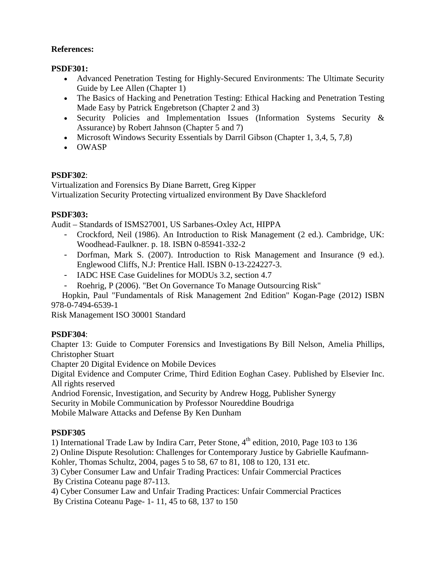## **References:**

## **PSDF301:**

- Advanced Penetration Testing for Highly-Secured Environments: The Ultimate Security Guide by Lee Allen (Chapter 1)
- The Basics of Hacking and Penetration Testing: Ethical Hacking and Penetration Testing Made Easy by Patrick Engebretson (Chapter 2 and 3)
- Security Policies and Implementation Issues (Information Systems Security & Assurance) by Robert Jahnson (Chapter 5 and 7)
- Microsoft Windows Security Essentials by Darril Gibson (Chapter 1, 3,4, 5, 7,8)
- OWASP

# **PSDF302**:

Virtualization and Forensics By Diane Barrett, Greg Kipper Virtualization Security Protecting virtualized environment By Dave Shackleford

## **PSDF303:**

Audit – Standards of ISMS27001, US Sarbanes-Oxley Act, HIPPA

- Crockford, Neil (1986). An Introduction to Risk Management (2 ed.). Cambridge, UK: Woodhead-Faulkner. p. 18. ISBN 0-85941-332-2
- Dorfman, Mark S. (2007). Introduction to Risk Management and Insurance (9 ed.). Englewood Cliffs, N.J: Prentice Hall. ISBN 0-13-224227-3.
- IADC HSE Case Guidelines for MODUs 3.2, section 4.7
- Roehrig, P (2006). "Bet On Governance To Manage Outsourcing Risk"

 Hopkin, Paul "Fundamentals of Risk Management 2nd Edition" Kogan-Page (2012) ISBN 978-0-7494-6539-1

Risk Management ISO 30001 Standard

# **PSDF304**:

Chapter 13: Guide to Computer Forensics and Investigations By Bill Nelson, Amelia Phillips, Christopher Stuart

Chapter 20 Digital Evidence on Mobile Devices

Digital Evidence and Computer Crime, Third Edition Eoghan Casey. Published by Elsevier Inc. All rights reserved

Andriod Forensic, Investigation, and Security by Andrew Hogg, Publisher Synergy

Security in Mobile Communication by Professor Noureddine Boudriga

Mobile Malware Attacks and Defense By Ken Dunham

# **PSDF305**

1) International Trade Law by Indira Carr, Peter Stone,  $4<sup>th</sup>$  edition, 2010, Page 103 to 136

2) Online Dispute Resolution: Challenges for Contemporary Justice by Gabrielle Kaufmann-

Kohler, Thomas Schultz, 2004, pages 5 to 58, 67 to 81, 108 to 120, 131 etc.

3) Cyber Consumer Law and Unfair Trading Practices: Unfair Commercial Practices By Cristina Coteanu page 87-113.

4) Cyber Consumer Law and Unfair Trading Practices: Unfair Commercial Practices By Cristina Coteanu Page- 1- 11, 45 to 68, 137 to 150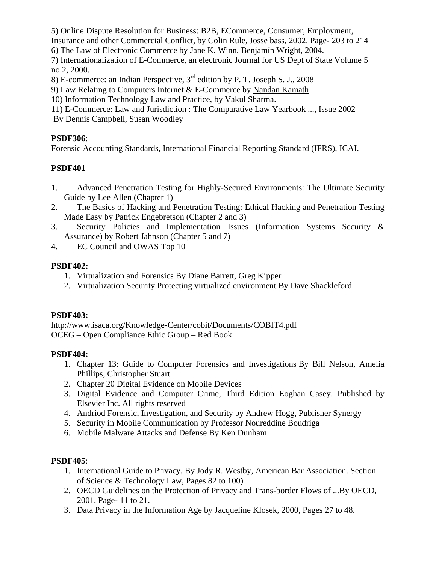5) Online Dispute Resolution for Business: B2B, ECommerce, Consumer, Employment, Insurance and other Commercial Conflict, by Colin Rule, Josse bass, 2002. Page- 203 to 214

6) The Law of Electronic Commerce by Jane K. Winn, Benjamín Wright, 2004.

7) Internationalization of E-Commerce, an electronic Journal for US Dept of State Volume 5 no.2, 2000.

8) E-commerce: an Indian Perspective, 3rd edition by P. T. Joseph S. J., 2008

9) Law Relating to Computers Internet & E-Commerce by Nandan Kamath

10) Information Technology Law and Practice, by Vakul Sharma.

11) E-Commerce: Law and Jurisdiction : The Comparative Law Yearbook ..., Issue 2002

By Dennis Campbell, Susan Woodley

## **PSDF306**:

Forensic Accounting Standards, International Financial Reporting Standard (IFRS), ICAI.

# **PSDF401**

- 1. Advanced Penetration Testing for Highly-Secured Environments: The Ultimate Security Guide by Lee Allen (Chapter 1)
- 2. The Basics of Hacking and Penetration Testing: Ethical Hacking and Penetration Testing Made Easy by Patrick Engebretson (Chapter 2 and 3)
- 3. Security Policies and Implementation Issues (Information Systems Security & Assurance) by Robert Jahnson (Chapter 5 and 7)
- 4. EC Council and OWAS Top 10

# **PSDF402:**

- 1. Virtualization and Forensics By Diane Barrett, Greg Kipper
- 2. Virtualization Security Protecting virtualized environment By Dave Shackleford

# **PSDF403:**

http://www.isaca.org/Knowledge-Center/cobit/Documents/COBIT4.pdf OCEG – Open Compliance Ethic Group – Red Book

# **PSDF404:**

- 1. Chapter 13: Guide to Computer Forensics and Investigations By Bill Nelson, Amelia Phillips, Christopher Stuart
- 2. Chapter 20 Digital Evidence on Mobile Devices
- 3. Digital Evidence and Computer Crime, Third Edition Eoghan Casey. Published by Elsevier Inc. All rights reserved
- 4. Andriod Forensic, Investigation, and Security by Andrew Hogg, Publisher Synergy
- 5. Security in Mobile Communication by Professor Noureddine Boudriga
- 6. Mobile Malware Attacks and Defense By Ken Dunham

# **PSDF405**:

- 1. International Guide to Privacy, By Jody R. Westby, American Bar Association. Section of Science & Technology Law, Pages 82 to 100)
- 2. OECD Guidelines on the Protection of Privacy and Trans-border Flows of ...By OECD, 2001, Page- 11 to 21.
- 3. Data Privacy in the Information Age by Jacqueline Klosek, 2000, Pages 27 to 48.